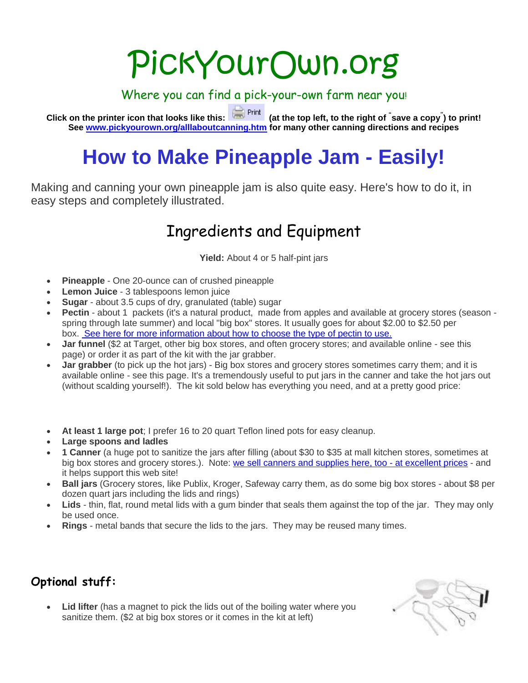# PickYourOwn.org

Where you can find a pick-your-own farm near you!

**Click on the printer icon that looks like this: (at the top left, to the right of " save a copy" ) to print! See [www.pickyourown.org/alllaboutcanning.htm](http://www.pickyourown.org/alllaboutcanning.htm) for many other canning directions and recipes**

## **How to Make Pineapple Jam - Easily!**

Making and canning your own pineapple jam is also quite easy. Here's how to do it, in easy steps and completely illustrated.

## Ingredients and Equipment

**Yield:** About 4 or 5 half-pint jars

- **Pineapple** One 20-ounce can of crushed pineapple
- **Lemon Juice** 3 tablespoons lemon juice
- **Sugar** about 3.5 cups of dry, granulated (table) sugar
- **Pectin**  about 1 packets (it's a natural product, made from apples and available at grocery stores (season spring through late summer) and local "big box" stores. It usually goes for about \$2.00 to \$2.50 per box. [See here for more information about how to choose the type of pectin to use.](file:///G:/websites2016/PYO2016/pectin.htm)
- **Jar funnel** (\$2 at Target, other big box stores, and often grocery stores; and available online see this page) or order it as part of the kit with the jar grabber.
- **Jar grabber** (to pick up the hot jars) Big box stores and grocery stores sometimes carry them; and it is available online - see this page. It's a tremendously useful to put jars in the canner and take the hot jars out (without scalding yourself!). The kit sold below has everything you need, and at a pretty good price:
- **At least 1 large pot**; I prefer 16 to 20 quart Teflon lined pots for easy cleanup.
- **Large spoons and ladles**
- **1 Canner** (a huge pot to sanitize the jars after filling (about \$30 to \$35 at mall kitchen stores, sometimes at big box stores and grocery stores.). Note: [we sell canners and supplies here, too -](file:///G:/websites2016/PYO2016/canningsupplies.htm) at excellent prices - and it helps support this web site!
- **Ball jars** (Grocery stores, like Publix, Kroger, Safeway carry them, as do some big box stores about \$8 per dozen quart jars including the lids and rings)
- **Lids** thin, flat, round metal lids with a gum binder that seals them against the top of the jar. They may only be used once.
- **Rings** metal bands that secure the lids to the jars. They may be reused many times.

#### **Optional stuff:**

- 
- **Lid lifter** (has a magnet to pick the lids out of the boiling water where you sanitize them. (\$2 at big box stores or it comes in the kit at left)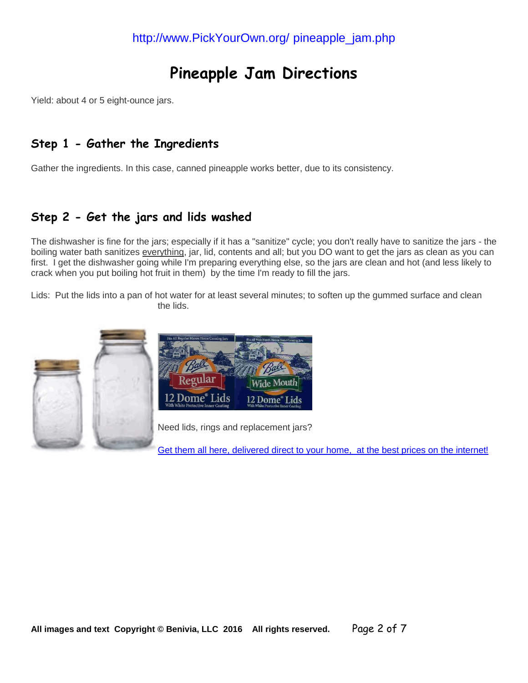## **Pineapple Jam Directions**

Yield: about 4 or 5 eight-ounce jars.

#### **Step 1 - Gather the Ingredients**

Gather the ingredients. In this case, canned pineapple works better, due to its consistency.

#### **Step 2 - Get the jars and lids washed**

The dishwasher is fine for the jars; especially if it has a "sanitize" cycle; you don't really have to sanitize the jars - the boiling water bath sanitizes everything, jar, lid, contents and all; but you DO want to get the jars as clean as you can first. I get the dishwasher going while I'm preparing everything else, so the jars are clean and hot (and less likely to crack when you put boiling hot fruit in them) by the time I'm ready to fill the jars.

Lids: Put the lids into a pan of hot water for at least several minutes; to soften up the gummed surface and clean the lids.



[Get them all here, delivered direct to your home,](file:///G:/websites2016/PYO2016/canningsupplies.htm) at the best prices on the internet!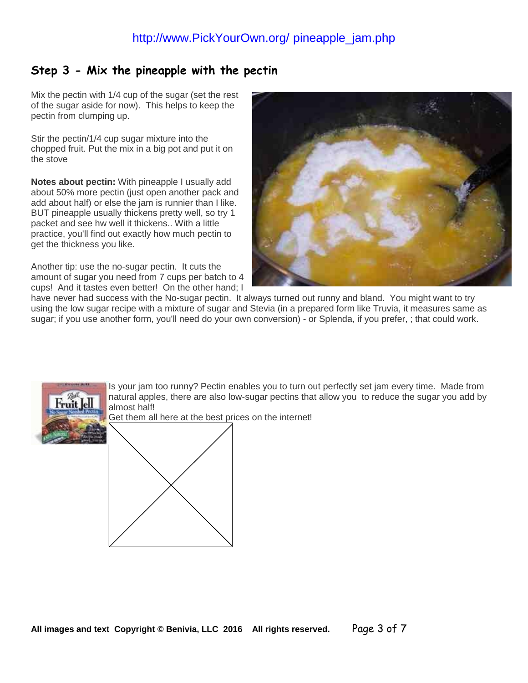#### http://www.PickYourOwn.org/ pineapple\_jam.php

#### **Step 3 - Mix the pineapple with the pectin**

Mix the pectin with 1/4 cup of the sugar (set the rest of the sugar aside for now). This helps to keep the pectin from clumping up.

Stir the pectin/1/4 cup sugar mixture into the chopped fruit. Put the mix in a big pot and put it on the stove

**Notes about pectin:** With pineapple I usually add about 50% more pectin (just open another pack and add about half) or else the jam is runnier than I like. BUT pineapple usually thickens pretty well, so try 1 packet and see hw well it thickens.. With a little practice, you'll find out exactly how much pectin to get the thickness you like.

Another tip: use the no-sugar pectin. It cuts the amount of sugar you need from 7 cups per batch to 4 cups! And it tastes even better! On the other hand; I



have never had success with the No-sugar pectin. It always turned out runny and bland. You might want to try using the low sugar recipe with a mixture of sugar and Stevia (in a prepared form like Truvia, it measures same as sugar; if you use another form, you'll need do your own conversion) - or Splenda, if you prefer, ; that could work.



Is your jam too runny? Pectin enables you to turn out perfectly set jam every time. Made from natural apples, there are also low-sugar pectins that allow you to reduce the sugar you add by almost half!

Get them all here at the best prices on the internet!

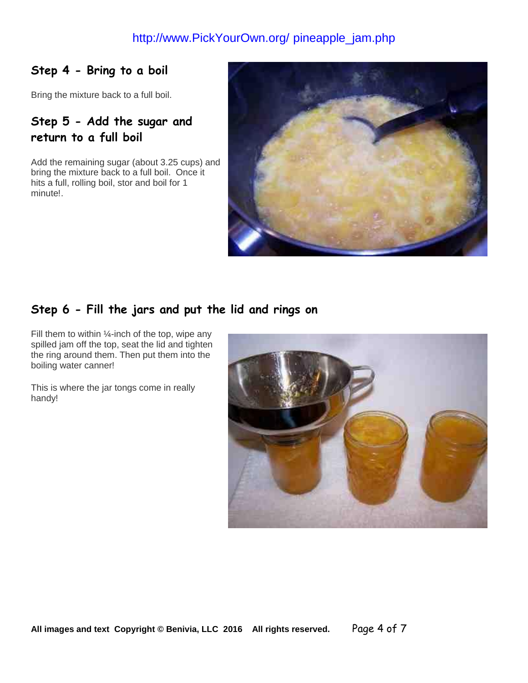#### http://www.PickYourOwn.org/ pineapple\_jam.php

#### **Step 4 - Bring to a boil**

Bring the mixture back to a full boil.

#### **Step 5 - Add the sugar and return to a full boil**

Add the remaining sugar (about 3.25 cups) and bring the mixture back to a full boil. Once it hits a full, rolling boil, stor and boil for 1 minute!.



#### **Step 6 - Fill the jars and put the lid and rings on**

Fill them to within  $\frac{1}{4}$ -inch of the top, wipe any spilled jam off the top, seat the lid and tighten the ring around them. Then put them into the boiling water canner!

This is where the jar tongs come in really handy!

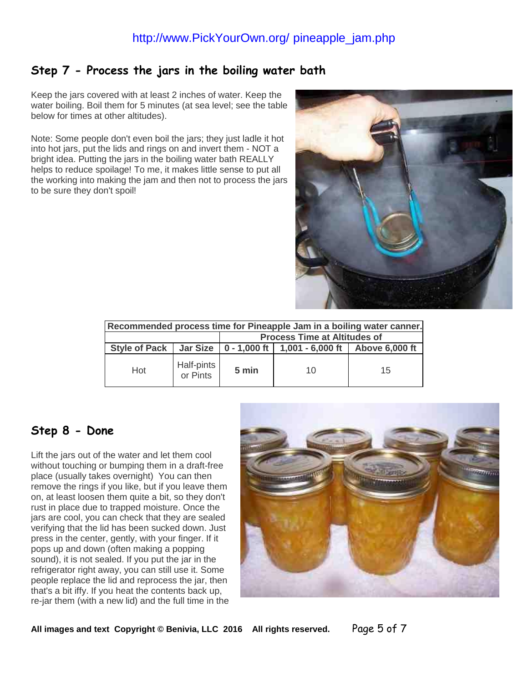#### **Step 7 - Process the jars in the boiling water bath**

Keep the jars covered with at least 2 inches of water. Keep the water boiling. Boil them for 5 minutes (at sea level; see the table below for times at other altitudes).

Note: Some people don't even boil the jars; they just ladle it hot into hot jars, put the lids and rings on and invert them - NOT a bright idea. Putting the jars in the boiling water bath REALLY helps to reduce spoilage! To me, it makes little sense to put all the working into making the jam and then not to process the jars to be sure they don't spoil!



| Recommended process time for Pineapple Jam in a boiling water canner. |                        |                                     |                                              |                |  |  |  |
|-----------------------------------------------------------------------|------------------------|-------------------------------------|----------------------------------------------|----------------|--|--|--|
|                                                                       |                        | <b>Process Time at Altitudes of</b> |                                              |                |  |  |  |
| Style of Pack                                                         |                        |                                     | Jar Size   $0 - 1,000$ ft   1,001 - 6,000 ft | Above 6,000 ft |  |  |  |
| Hot                                                                   | Half-pints<br>or Pints | 5 min                               | 10                                           | 15             |  |  |  |

#### **Step 8 - Done**

Lift the jars out of the water and let them cool without touching or bumping them in a draft-free place (usually takes overnight) You can then remove the rings if you like, but if you leave them on, at least loosen them quite a bit, so they don't rust in place due to trapped moisture. Once the jars are cool, you can check that they are sealed verifying that the lid has been sucked down. Just press in the center, gently, with your finger. If it pops up and down (often making a popping sound), it is not sealed. If you put the jar in the refrigerator right away, you can still use it. Some people replace the lid and reprocess the jar, then that's a bit iffy. If you heat the contents back up, re-jar them (with a new lid) and the full time in the



**All images and text Copyright © Benivia, LLC 2016 All rights reserved.** Page 5 of 7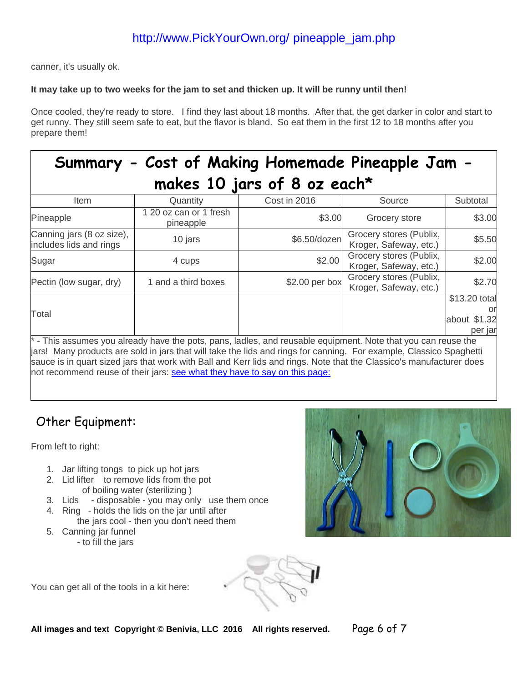#### http://www.PickYourOwn.org/ pineapple\_jam.php

canner, it's usually ok.

#### **It may take up to two weeks for the jam to set and thicken up. It will be runny until then!**

Once cooled, they're ready to store. I find they last about 18 months. After that, the get darker in color and start to get runny. They still seem safe to eat, but the flavor is bland. So eat them in the first 12 to 18 months after you prepare them!

| Summary - Cost of Making Homemade Pineapple Jam -<br>makes 10 jars of 8 oz each* |                                     |                                                                                                               |                                                   |                                                |  |  |  |
|----------------------------------------------------------------------------------|-------------------------------------|---------------------------------------------------------------------------------------------------------------|---------------------------------------------------|------------------------------------------------|--|--|--|
| <b>Item</b>                                                                      | Quantity                            | Cost in 2016                                                                                                  | Source                                            | Subtotal                                       |  |  |  |
| Pineapple                                                                        | 1 20 oz can or 1 fresh<br>pineapple | \$3.00                                                                                                        | Grocery store                                     | \$3.00                                         |  |  |  |
| Canning jars (8 oz size),<br>includes lids and rings                             | 10 jars                             | \$6.50/dozen                                                                                                  | Grocery stores (Publix,<br>Kroger, Safeway, etc.) | \$5.50                                         |  |  |  |
| Sugar                                                                            | 4 cups                              | \$2.00                                                                                                        | Grocery stores (Publix,<br>Kroger, Safeway, etc.) | \$2.00                                         |  |  |  |
| Pectin (low sugar, dry)                                                          | 1 and a third boxes                 | \$2.00 per box                                                                                                | Grocery stores (Publix,<br>Kroger, Safeway, etc.) | \$2.70                                         |  |  |  |
| Total                                                                            |                                     |                                                                                                               |                                                   | \$13.20 total<br>or<br>about \$1.32<br>per jar |  |  |  |
|                                                                                  |                                     | $^*$ - This assumes you already have the pots pans Jadles and reusable equipment. Note that you can reuse the |                                                   |                                                |  |  |  |

\* - This assumes you already have the pots, pans, ladles, and reusable equipment. Note that you can reuse the jars! Many products are sold in jars that will take the lids and rings for canning. For example, Classico Spaghetti sauce is in quart sized jars that work with Ball and Kerr lids and rings. Note that the Classico's manufacturer does not recommend reuse of their jars: [see what they have to say on this page:](http://www.pickyourown.org/PYO.php?URL=http%3A%2F%2Fwww.classico.com/flavors/faqs.aspx) 

#### Other Equipment:

From left to right:

- 1. Jar lifting tongs to pick up hot jars
- 2. Lid lifter to remove lids from the pot of boiling water (sterilizing )
- 3. Lids disposable you may only use them once
- 4. Ring holds the lids on the jar until after the jars cool - then you don't need them
- 5. Canning jar funnel
	- to fill the jars

You can get all of the tools in a kit here:



**All images and text Copyright © Benivia, LLC 2016 All rights reserved.** Page 6 of 7